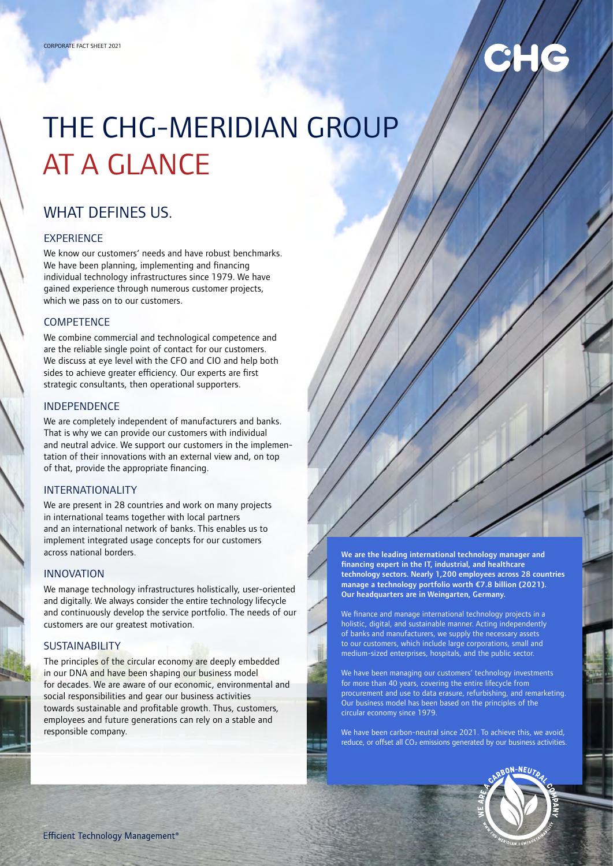# THE CHG-MERIDIAN GROUP AT A GLANCE

## WHAT DEFINES US

#### EXPERIENCE

We know our customers' needs and have robust benchmarks. We have been planning, implementing and financing individual technology infrastructures since 1979. We have gained experience through numerous customer projects, which we pass on to our customers.

#### **COMPETENCE**

We combine commercial and technological competence and are the reliable single point of contact for our customers. We discuss at eye level with the CFO and CIO and help both sides to achieve greater efficiency. Our experts are first strategic consultants, then operational supporters.

#### INDEPENDENCE

We are completely independent of manufacturers and banks. That is why we can provide our customers with individual and neutral advice. We support our customers in the implementation of their innovations with an external view and, on top of that, provide the appropriate financing.

#### INTERNATIONALITY

We are present in 28 countries and work on many projects in international teams together with local partners and an international network of banks. This enables us to implement integrated usage concepts for our customers across national borders.

#### INNOVATION

We manage technology infrastructures holistically, user-oriented and digitally. We always consider the entire technology lifecycle and continuously develop the service portfolio. The needs of our customers are our greatest motivation.

#### **SUSTAINABILITY**

The principles of the circular economy are deeply embedded in our DNA and have been shaping our business model for decades. We are aware of our economic, environmental and social responsibilities and gear our business activities towards sustainable and profitable growth. Thus, customers, employees and future generations can rely on a stable and responsible company.



We finance and manage international technology projects in a holistic, digital, and sustainable manner. Acting independently of banks and manufacturers, we supply the necessary assets to our customers, which include large corporations, small and medium-sized enterprises, hospitals, and the public sector.

We have been managing our customers' technology investments for more than 40 years, covering the entire lifecycle from procurement and use to data erasure, refurbishing, and remarketing. Our business model has been based on the principles of the circular economy since 1979.

We have been carbon-neutral since 2021. To achieve this, we avoid, reduce, or offset all CO<sub>2</sub> emissions generated by our business activities.